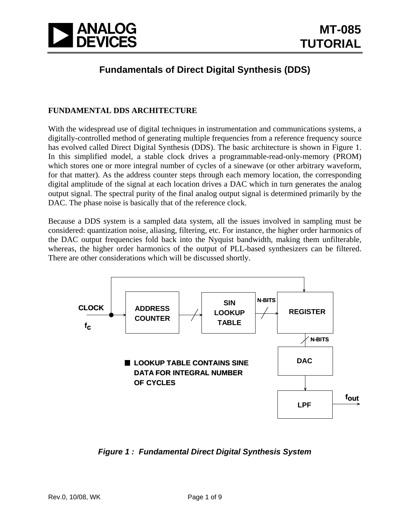

### **Fundamentals of Direct Digital Synthesis (DDS)**

#### **FUNDAMENTAL DDS ARCHITECTURE**

With the widespread use of digital techniques in instrumentation and communications systems, a digitally-controlled method of generating multiple frequencies from a reference frequency source has evolved called Direct Digital Synthesis (DDS). The basic architecture is shown in Figure 1. In this simplified model, a stable clock drives a programmable-read-only-memory (PROM) which stores one or more integral number of cycles of a sinewave (or other arbitrary waveform, for that matter). As the address counter steps through each memory location, the corresponding digital amplitude of the signal at each location drives a DAC which in turn generates the analog output signal. The spectral purity of the final analog output signal is determined primarily by the DAC. The phase noise is basically that of the reference clock.

Because a DDS system is a sampled data system, all the issues involved in sampling must be considered: quantization noise, aliasing, filtering, etc. For instance, the higher order harmonics of the DAC output frequencies fold back into the Nyquist bandwidth, making them unfilterable, whereas, the higher order harmonics of the output of PLL-based synthesizers can be filtered. There are other considerations which will be discussed shortly.



*Figure 1 : Fundamental Direct Digital Synthesis System*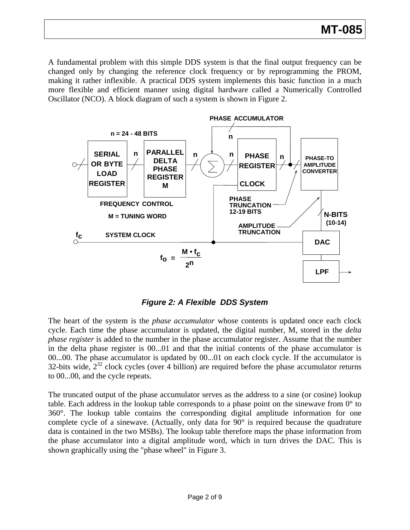A fundamental problem with this simple DDS system is that the final output frequency can be changed only by changing the reference clock frequency or by reprogramming the PROM, making it rather inflexible. A practical DDS system implements this basic function in a much more flexible and efficient manner using digital hardware called a Numerically Controlled Oscillator (NCO). A block diagram of such a system is shown in Figure 2.



*Figure 2: A Flexible DDS System* 

The heart of the system is the *phase accumulator* whose contents is updated once each clock cycle. Each time the phase accumulator is updated, the digital number, M, stored in the *delta phase register* is added to the number in the phase accumulator register. Assume that the number in the delta phase register is 00...01 and that the initial contents of the phase accumulator is 00...00. The phase accumulator is updated by 00...01 on each clock cycle. If the accumulator is 32-bits wide,  $2^{32}$  clock cycles (over 4 billion) are required before the phase accumulator returns to 00...00, and the cycle repeats.

The truncated output of the phase accumulator serves as the address to a sine (or cosine) lookup table. Each address in the lookup table corresponds to a phase point on the sinewave from  $0^{\circ}$  to 360°. The lookup table contains the corresponding digital amplitude information for one complete cycle of a sinewave. (Actually, only data for 90° is required because the quadrature data is contained in the two MSBs). The lookup table therefore maps the phase information from the phase accumulator into a digital amplitude word, which in turn drives the DAC. This is shown graphically using the "phase wheel" in Figure 3.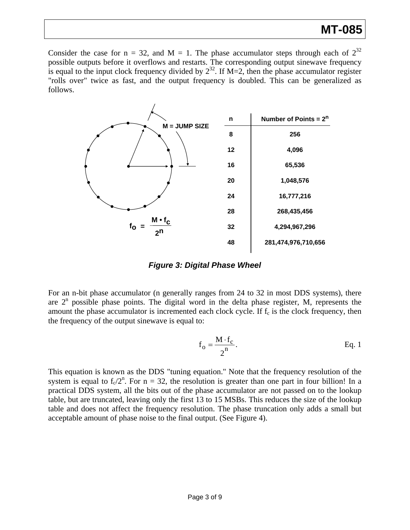# **MT-085**

Consider the case for  $n = 32$ , and  $M = 1$ . The phase accumulator steps through each of  $2^{32}$ possible outputs before it overflows and restarts. The corresponding output sinewave frequency is equal to the input clock frequency divided by  $2^{32}$ . If M=2, then the phase accumulator register "rolls over" twice as fast, and the output frequency is doubled. This can be generalized as follows.



*Figure 3: Digital Phase Wheel* 

For an n-bit phase accumulator (n generally ranges from 24 to 32 in most DDS systems), there are  $2<sup>n</sup>$  possible phase points. The digital word in the delta phase register, M, represents the amount the phase accumulator is incremented each clock cycle. If  $f_c$  is the clock frequency, then the frequency of the output sinewave is equal to:

$$
f_o = \frac{M \cdot f_c}{2^n}.
$$
 Eq. 1

This equation is known as the DDS "tuning equation." Note that the frequency resolution of the system is equal to  $f_c/2^n$ . For  $n = 32$ , the resolution is greater than one part in four billion! In a practical DDS system, all the bits out of the phase accumulator are not passed on to the lookup table, but are truncated, leaving only the first 13 to 15 MSBs. This reduces the size of the lookup table and does not affect the frequency resolution. The phase truncation only adds a small but acceptable amount of phase noise to the final output. (See Figure 4).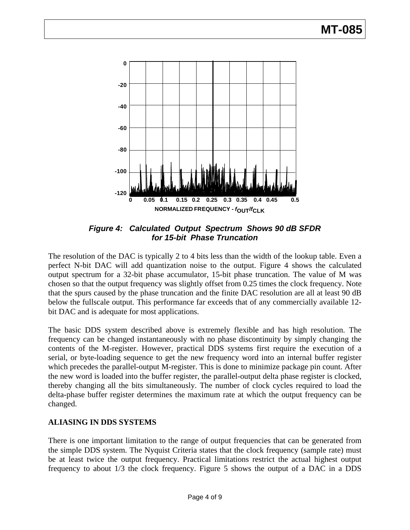

*Figure 4: Calculated Output Spectrum Shows 90 dB SFDR for 15-bit Phase Truncation* 

The resolution of the DAC is typically 2 to 4 bits less than the width of the lookup table. Even a perfect N-bit DAC will add quantization noise to the output. Figure 4 shows the calculated output spectrum for a 32-bit phase accumulator, 15-bit phase truncation. The value of M was chosen so that the output frequency was slightly offset from 0.25 times the clock frequency. Note that the spurs caused by the phase truncation and the finite DAC resolution are all at least 90 dB below the fullscale output. This performance far exceeds that of any commercially available 12 bit DAC and is adequate for most applications.

The basic DDS system described above is extremely flexible and has high resolution. The frequency can be changed instantaneously with no phase discontinuity by simply changing the contents of the M-register. However, practical DDS systems first require the execution of a serial, or byte-loading sequence to get the new frequency word into an internal buffer register which precedes the parallel-output M-register. This is done to minimize package pin count. After the new word is loaded into the buffer register, the parallel-output delta phase register is clocked, thereby changing all the bits simultaneously. The number of clock cycles required to load the delta-phase buffer register determines the maximum rate at which the output frequency can be changed.

#### **ALIASING IN DDS SYSTEMS**

There is one important limitation to the range of output frequencies that can be generated from the simple DDS system. The Nyquist Criteria states that the clock frequency (sample rate) must be at least twice the output frequency. Practical limitations restrict the actual highest output frequency to about 1/3 the clock frequency. Figure 5 shows the output of a DAC in a DDS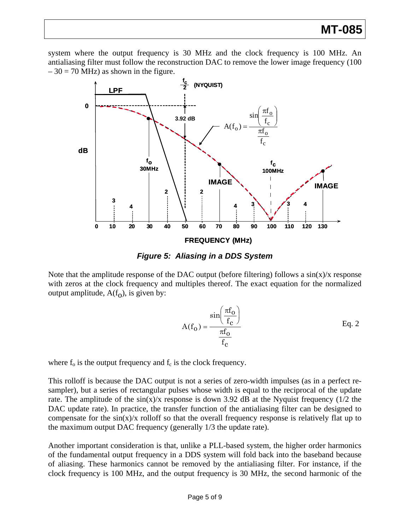### **MT-085**

system where the output frequency is 30 MHz and the clock frequency is 100 MHz. An antialiasing filter must follow the reconstruction DAC to remove the lower image frequency (100  $-30 = 70$  MHz) as shown in the figure.





with zeros at the clock frequency and multiples thereof. The exact equation for the normalized output amplitude,  $A(f_0)$ , is given by: Note that the amplitude response of the DAC output (before filtering) follows a  $sin(x)/x$  response

$$
A(f_0) = \frac{\sin\left(\frac{\pi f_0}{f_c}\right)}{\frac{\pi f_0}{f_c}}
$$
 Eq. 2

where  $f_0$  is the output frequency and  $f_c$  is the clock frequency.

compensate for the  $sin(x)/x$  rolloff so that the overall frequency response is relatively flat up to the maximum output DAC frequency (generally 1/3 the update rate). This rolloff is because the DAC output is not a series of zero-width impulses (as in a perfect resampler), but a series of rectangular pulses whose width is equal to the reciprocal of the update rate. The amplitude of the  $sin(x)/x$  response is down 3.92 dB at the Nyquist frequency (1/2 the DAC update rate). In practice, the transfer function of the antialiasing filter can be designed to

Another important consideration is that, unlike a PLL-based system, the higher order harmonics of the fundamental output frequency in a DDS system will fold back into the baseband because of aliasing. These harmonics cannot be removed by the antialiasing filter. For instance, if the clock frequency is 100 MHz, and the output frequency is 30 MHz, the second harmonic of the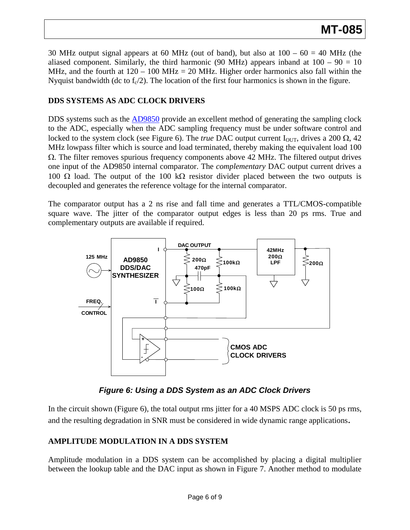30 MHz output signal appears at 60 MHz (out of band), but also at  $100 - 60 = 40$  MHz (the aliased component. Similarly, the third harmonic (90 MHz) appears inband at  $100 - 90 = 10$ MHz, and the fourth at  $120 - 100$  MHz = 20 MHz. Higher order harmonics also fall within the Nyquist bandwidth (dc to  $f_c/2$ ). The location of the first four harmonics is shown in the figure.

#### **DS SYSTEMS AS ADC CLOCK DRIVERS D**

DDS systems such as the [AD9850](http://www.analog.com/en/rfif-components/direct-digital-synthesis-dds/ad9850/products/product.html) provide an excellent method of generating the sampling clock to the ADC, especially when the ADC sampling frequency must be under software control and locked to the system clock (see Figure 6). The *true* DAC output current I<sub>OUT</sub>, drives a 200 Ω, 42 MHz lowpass filter which is source and load terminated, thereby making the equivalent load 100  $\Omega$ . The filter removes spurious frequency components above 42 MHz. The filtered output drives one input of the AD9850 internal comparator. The *complementary* DAC output current drives a 100 Ω load. The output of the 100 kΩ resistor divider placed between the two outputs is decoupled and generates the reference voltage for the internal comparator.

square wave. The jitter of the comparator output edges is less than 20 ps rms. True and complementary outputs are available if required. The comparator output has a 2 ns rise and fall time and generates a TTL/CMOS-compatible



*Figure 6: Using a DDS System as an ADC Clock Drivers* 

In the circuit shown (Figure 6), the total output rms jitter for a 40 MSPS ADC clock is 50 ps rms, and the resulting degradation in SNR must be considered in wide dynamic range applications.

#### **MPLITUDE MODULATION IN A DDS SYSTEM A**

Amplitude modulation in a DDS system can be accomplished by placing a digital multiplier between the lookup table and the DAC input as shown in Figure 7. Another method to modulate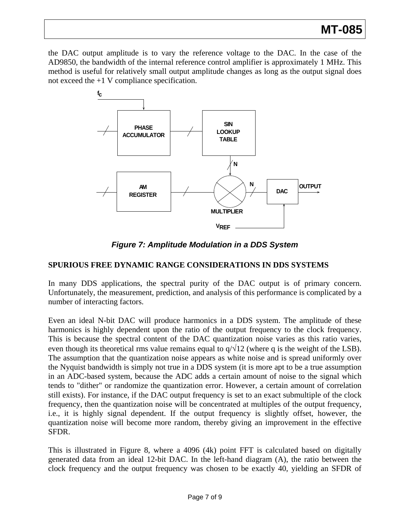# **MT-085**

the DAC output amplitude is to vary the reference voltage to the DAC. In the case of the AD9850, the bandwidth of the internal reference control amplifier is approximately 1 MHz. This method is useful for relatively small output amplitude changes as long as the output signal does not exceed the +1 V compliance specification.



*Figure 7: Amplitude Modulation in a DDS System* 

#### **SPURIOUS FREE DYNAMIC RANGE CONSIDERATIONS IN DDS SYSTEMS**

In many DDS applications, the spectral purity of the DAC output is of primary concern. Unfortunately, the measurement, prediction, and analysis of this performance is complicated by a number of interacting factors.

i.e., it is highly signal dependent. If the output frequency is slightly offset, however, the quantization noise will become more random, thereby giving an improvement in the effective Even an ideal N-bit DAC will produce harmonics in a DDS system. The amplitude of these harmonics is highly dependent upon the ratio of the output frequency to the clock frequency. This is because the spectral content of the DAC quantization noise varies as this ratio varies, even though its theoretical rms value remains equal to  $q/\sqrt{12}$  (where q is the weight of the LSB). The assumption that the quantization noise appears as white noise and is spread uniformly over the Nyquist bandwidth is simply not true in a DDS system (it is more apt to be a true assumption in an ADC-based system, because the ADC adds a certain amount of noise to the signal which tends to "dither" or randomize the quantization error. However, a certain amount of correlation still exists). For instance, if the DAC output frequency is set to an exact submultiple of the clock frequency, then the quantization noise will be concentrated at multiples of the output frequency, SFDR.

This is illustrated in Figure 8, where a 4096 (4k) point FFT is calculated based on digitally generated data from an ideal 12-bit DAC. In the left-hand diagram (A), the ratio between the clock frequency and the output frequency was chosen to be exactly 40, yielding an SFDR of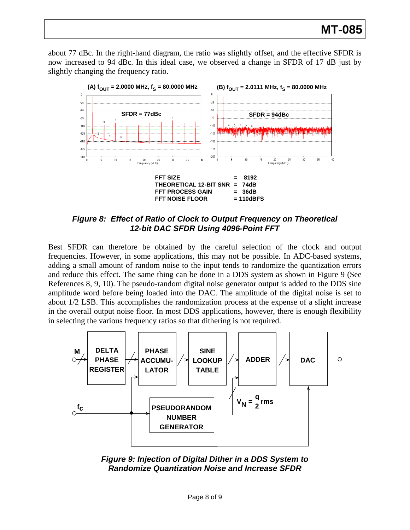about 77 dBc. In the right-hand diagram, the ratio was slightly offset, and the effective SFDR is now increased to 94 dBc. In this ideal case, we observed a change in SFDR of 17 dB just by slightly changing the frequency ratio.



*Figure 8: Effect of Ratio of Clock to Output Frequency on Theoretical 12-bit DAC SFDR Using 4096-Point FFT* 

amplitude word before being loaded into the DAC. The amplitude of the digital noise is set to about 1/2 LSB. This accomplishes the randomization process at the expense of a slight increase in the overall output noise floor. In most DDS applications, however, there is enough flexibility in selecting the various frequency ratios so that dithering is not required. Best SFDR can therefore be obtained by the careful selection of the clock and output frequencies. However, in some applications, this may not be possible. In ADC-based systems, adding a small amount of random noise to the input tends to randomize the quantization errors and reduce this effect. The same thing can be done in a DDS system as shown in Figure 9 (See References 8, 9, 10). The pseudo-random digital noise generator output is added to the DDS sine



*Figure 9: Injection of Digital Dither in a DDS System to Randomize Quantization Noise and Increase SFDR*